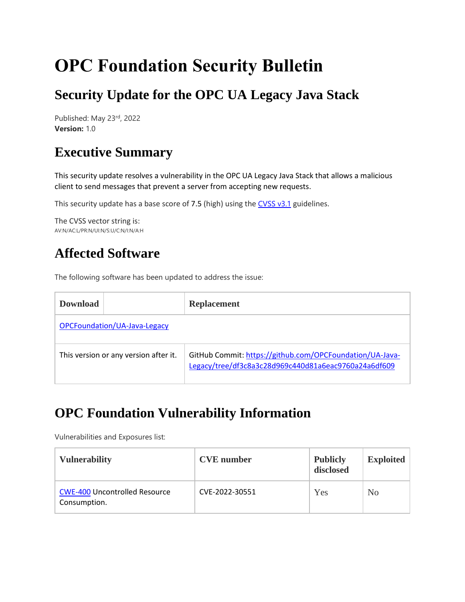# **OPC Foundation Security Bulletin**

# **Security Update for the OPC UA Legacy Java Stack**

Published: May 23rd, 2022 **Version:** 1.0

### **Executive Summary**

This security update resolves a vulnerability in the OPC UA Legacy Java Stack that allows a malicious client to send messages that prevent a server from accepting new requests.

This security update has a base score of 7.5 (high) using the [CVSS v3.1](https://www.first.org/cvss/specification-document) guidelines.

The CVSS vector string is: AV:N/AC:L/PR:N/UI:N/S:U/C:N/I:N/A:H

#### **Affected Software**

The following software has been updated to address the issue:

| <b>Download</b>                       |  | <b>Replacement</b>                                                                                               |  |  |  |  |
|---------------------------------------|--|------------------------------------------------------------------------------------------------------------------|--|--|--|--|
| OPCFoundation/UA-Java-Legacy          |  |                                                                                                                  |  |  |  |  |
| This version or any version after it. |  | GitHub Commit: https://github.com/OPCFoundation/UA-Java-<br>Legacy/tree/df3c8a3c28d969c440d81a6eac9760a24a6df609 |  |  |  |  |

### **OPC Foundation Vulnerability Information**

Vulnerabilities and Exposures list:

| <b>Vulnerability</b>                                 | <b>CVE</b> number | <b>Publicly</b><br>disclosed | <b>Exploited</b> |
|------------------------------------------------------|-------------------|------------------------------|------------------|
| <b>CWE-400 Uncontrolled Resource</b><br>Consumption. | CVE-2022-30551    | Yes                          | N <sub>0</sub>   |